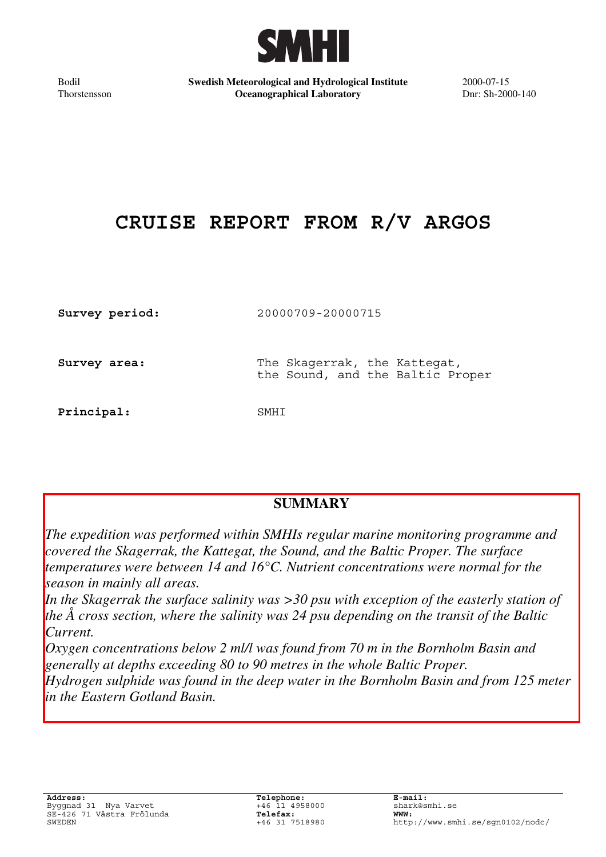

Bodil Thorstensson **Swedish Meteorological and Hydrological Institute Oceanographical Laboratory**

2000-07-15 Dnr: Sh-2000-140

# **CRUISE REPORT FROM R/V ARGOS**

| Survey period: | 20000709-20000715                                                |
|----------------|------------------------------------------------------------------|
| Survey area:   | The Skagerrak, the Kattegat,<br>the Sound, and the Baltic Proper |
| Principal:     | SMHT                                                             |

## **SUMMARY**

*The expedition was performed within SMHIs regular marine monitoring programme and covered the Skagerrak, the Kattegat, the Sound, and the Baltic Proper. The surface temperatures were between 14 and 16°C. Nutrient concentrations were normal for the season in mainly all areas.*

*In the Skagerrak the surface salinity was >30 psu with exception of the easterly station of the Å cross section, where the salinity was 24 psu depending on the transit of the Baltic Current.*

*Oxygen concentrations below 2 ml/l was found from 70 m in the Bornholm Basin and generally at depths exceeding 80 to 90 metres in the whole Baltic Proper. Hydrogen sulphide was found in the deep water in the Bornholm Basin and from 125 meter in the Eastern Gotland Basin.*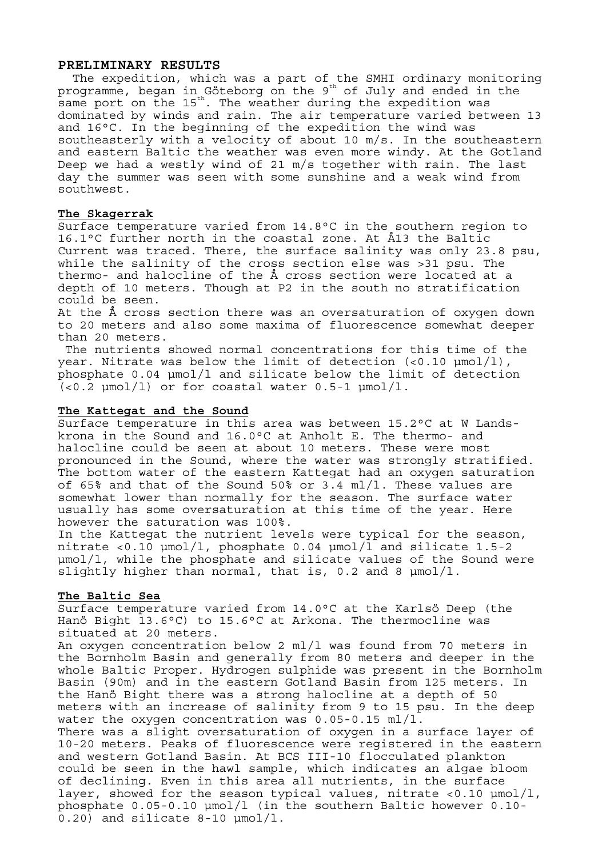#### **PRELIMINARY RESULTS**

The expedition, which was a part of the SMHI ordinary monitoring programme, began in Göteborg on the  $9<sup>th</sup>$  of July and ended in the same port on the 15<sup>th</sup>. The weather during the expedition was dominated by winds and rain. The air temperature varied between 13 and 16°C. In the beginning of the expedition the wind was southeasterly with a velocity of about 10 m/s. In the southeastern and eastern Baltic the weather was even more windy. At the Gotland Deep we had a westly wind of 21 m/s together with rain. The last day the summer was seen with some sunshine and a weak wind from southwest.

#### **The Skagerrak**

Surface temperature varied from 14.8°C in the southern region to 16.1°C further north in the coastal zone. At Å13 the Baltic Current was traced. There, the surface salinity was only 23.8 psu, while the salinity of the cross section else was >31 psu. The thermo- and halocline of the Å cross section were located at a depth of 10 meters. Though at P2 in the south no stratification could be seen.

At the Å cross section there was an oversaturation of oxygen down to 20 meters and also some maxima of fluorescence somewhat deeper than 20 meters.

The nutrients showed normal concentrations for this time of the year. Nitrate was below the limit of detection  $(<0.10 \text{ \mu} \text{mol}/1)$ , phosphate 0.04 µmol/l and silicate below the limit of detection  $(<0.2$   $\mu$ mol/l) or for coastal water  $0.5$ -1  $\mu$ mol/l.

#### **The Kattegat and the Sound**

Surface temperature in this area was between 15.2°C at W Landskrona in the Sound and 16.0°C at Anholt E. The thermo- and halocline could be seen at about 10 meters. These were most pronounced in the Sound, where the water was strongly stratified. The bottom water of the eastern Kattegat had an oxygen saturation of 65% and that of the Sound 50% or 3.4 ml/l. These values are somewhat lower than normally for the season. The surface water usually has some oversaturation at this time of the year. Here however the saturation was 100%.

In the Kattegat the nutrient levels were typical for the season, nitrate <0.10 µmol/l, phosphate 0.04 µmol/l and silicate 1.5-2 µmol/l, while the phosphate and silicate values of the Sound were slightly higher than normal, that is,  $0.2$  and 8  $\mu$ mol/l.

#### **The Baltic Sea**

Surface temperature varied from 14.0°C at the Karlsö Deep (the Hanö Bight 13.6°C) to 15.6°C at Arkona. The thermocline was situated at 20 meters.

An oxygen concentration below 2 ml/l was found from 70 meters in the Bornholm Basin and generally from 80 meters and deeper in the whole Baltic Proper. Hydrogen sulphide was present in the Bornholm Basin (90m) and in the eastern Gotland Basin from 125 meters. In the Hanö Bight there was a strong halocline at a depth of 50 meters with an increase of salinity from 9 to 15 psu. In the deep water the oxygen concentration was 0.05-0.15 ml/l. There was a slight oversaturation of oxygen in a surface layer of 10-20 meters. Peaks of fluorescence were registered in the eastern and western Gotland Basin. At BCS III-10 flocculated plankton could be seen in the hawl sample, which indicates an algae bloom of declining. Even in this area all nutrients, in the surface layer, showed for the season typical values, nitrate <0.10 µmol/l, phosphate 0.05-0.10 µmol/l (in the southern Baltic however 0.10- 0.20) and silicate 8-10 µmol/l.